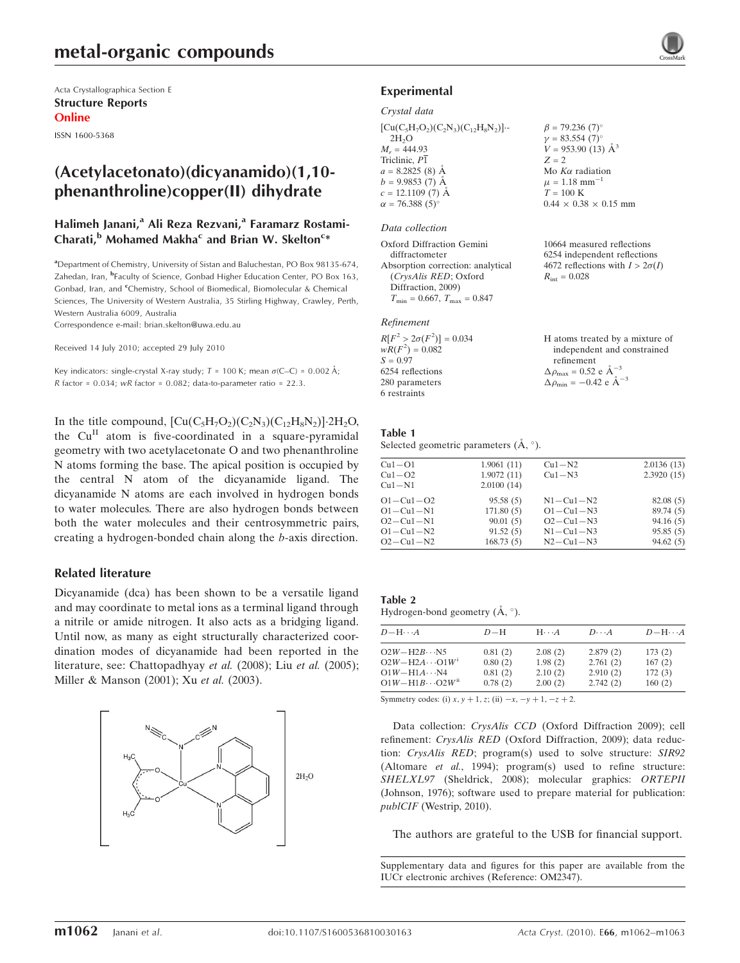## metal-organic compounds

Acta Crystallographica Section E Structure Reports Online

ISSN 1600-5368

## (Acetylacetonato)(dicyanamido)(1,10 phenanthroline)copper(II) dihydrate

#### Halimeh Janani,<sup>a</sup> Ali Reza Rezvani,<sup>a</sup> Faramarz Rostami-Charati, $^{\rm b}$  Mohamed Makha<sup>c</sup> and Brian W. Skelton<sup>c</sup>\*

<sup>a</sup>Department of Chemistry, University of Sistan and Baluchestan, PO Box 98135-674, Zahedan, Iran, <sup>b</sup>Faculty of Science, Gonbad Higher Education Center, PO Box 163, Gonbad, Iran, and Chemistry, School of Biomedical, Biomolecular & Chemical Sciences, The University of Western Australia, 35 Stirling Highway, Crawley, Perth, Western Australia 6009, Australia

Correspondence e-mail: brian.skelton@uwa.edu.au

Received 14 July 2010; accepted 29 July 2010

Key indicators: single-crystal X-ray study;  $T = 100$  K; mean  $\sigma$ (C–C) = 0.002 Å;  $R$  factor = 0.034;  $wR$  factor = 0.082; data-to-parameter ratio = 22.3.

In the title compound,  $\left[\text{Cu}(C_5H_7O_2)(C_2N_3)(C_{12}H_8N_2)\right]$  2H<sub>2</sub>O, the  $Cu<sup>II</sup>$  atom is five-coordinated in a square-pyramidal geometry with two acetylacetonate O and two phenanthroline N atoms forming the base. The apical position is occupied by the central N atom of the dicyanamide ligand. The dicyanamide N atoms are each involved in hydrogen bonds to water molecules. There are also hydrogen bonds between both the water molecules and their centrosymmetric pairs, creating a hydrogen-bonded chain along the b-axis direction.

#### Related literature

Dicyanamide (dca) has been shown to be a versatile ligand and may coordinate to metal ions as a terminal ligand through a nitrile or amide nitrogen. It also acts as a bridging ligand. Until now, as many as eight structurally characterized coordination modes of dicyanamide had been reported in the literature, see: Chattopadhyay et al. (2008); Liu et al. (2005); Miller & Manson (2001); Xu et al. (2003).



### Experimental

#### Crystal data

 $[Cu(C<sub>5</sub>H<sub>7</sub>O<sub>2</sub>)(C<sub>2</sub>N<sub>3</sub>)(C<sub>12</sub>H<sub>8</sub>N<sub>2</sub>)]$  $2H<sub>2</sub>O$  $M<sub>r</sub> = 444.93$ Triclinic,  $P\overline{1}$  $a = 8.2825(8)$  Å  $b = 9.9853(7)$  Å  $c = 12.1109(7)$  Å  $\alpha = 76.388(5)$ °

#### Data collection

Oxford Diffraction Gemini diffractometer Absorption correction: analytical (CrysAlis RED; Oxford Diffraction, 2009)  $T_{\text{min}} = 0.667, T_{\text{max}} = 0.847$ 

#### Refinement

 $R[F^2 > 2\sigma(F^2)] = 0.034$  $wR(F^2) = 0.082$  $S = 0.97$ 6254 reflections 280 parameters 6 restraints

6254 independent reflections 4672 reflections with  $I > 2\sigma(I)$  $R_{\text{int}} = 0.028$ 

10664 measured reflections

 $\beta = 79.236 (7)^{\circ}$  $y = 83.554 (7)^{\circ}$  $V = 953.90$  (13)  $\AA^3$ 

Mo  $K\alpha$  radiation  $\mu = 1.18$  mm<sup>-1</sup>  $T=100~\mathrm{K}$ 

 $0.44 \times 0.38 \times 0.15$  mm

 $Z = 2$ 

| H atoms treated by a mixture of                       |
|-------------------------------------------------------|
| independent and constrained                           |
| refinement                                            |
| $\Delta \rho_{\text{max}} = 0.52$ e $\text{\AA}^{-3}$ |
| $\Delta \rho_{\text{min}} = -0.42$ e $\AA^{-3}$       |

#### Table 1

Selected geometric parameters  $(\hat{A}, \circ)$ .

| 2.0136(13) |
|------------|
| 2.3920(15) |
|            |
| 82.08(5)   |
| 89.74 (5)  |
| 94.16(5)   |
| 95.85(5)   |
| 94.62(5)   |
|            |

| Table 2                                       |  |  |
|-----------------------------------------------|--|--|
| Hydrogen-bond geometry $(\dot{A}, \degree)$ . |  |  |

| $D - H \cdots A$                     | $D-H$   | $H\cdots A$ | $D\cdots A$ | $D - H \cdots A$ |
|--------------------------------------|---------|-------------|-------------|------------------|
| $O2W - H2B \cdots N5$                | 0.81(2) | 2.08(2)     | 2.879(2)    | 173(2)           |
| $O2W - H2A \cdots O1W$ <sup>i</sup>  | 0.80(2) | 1.98(2)     | 2.761(2)    | 167(2)           |
| $O1W - H1A \cdots N4$                | 0.81(2) | 2.10(2)     | 2.910(2)    | 172(3)           |
| $O1W - H1B \cdots O2W$ <sup>ii</sup> | 0.78(2) | 2.00(2)     | 2.742(2)    | 160(2)           |

Symmetry codes: (i)  $x, y + 1, z$ ; (ii)  $-x, -y + 1, -z + 2$ .

Data collection: CrysAlis CCD (Oxford Diffraction 2009); cell refinement: CrysAlis RED (Oxford Diffraction, 2009); data reduction: CrysAlis RED; program(s) used to solve structure: SIR92 (Altomare *et al.*, 1994); program(s) used to refine structure: SHELXL97 (Sheldrick, 2008); molecular graphics: ORTEPII (Johnson, 1976); software used to prepare material for publication: publCIF (Westrip, 2010).

The authors are grateful to the USB for financial support.

Supplementary data and figures for this paper are available from the IUCr electronic archives (Reference: OM2347).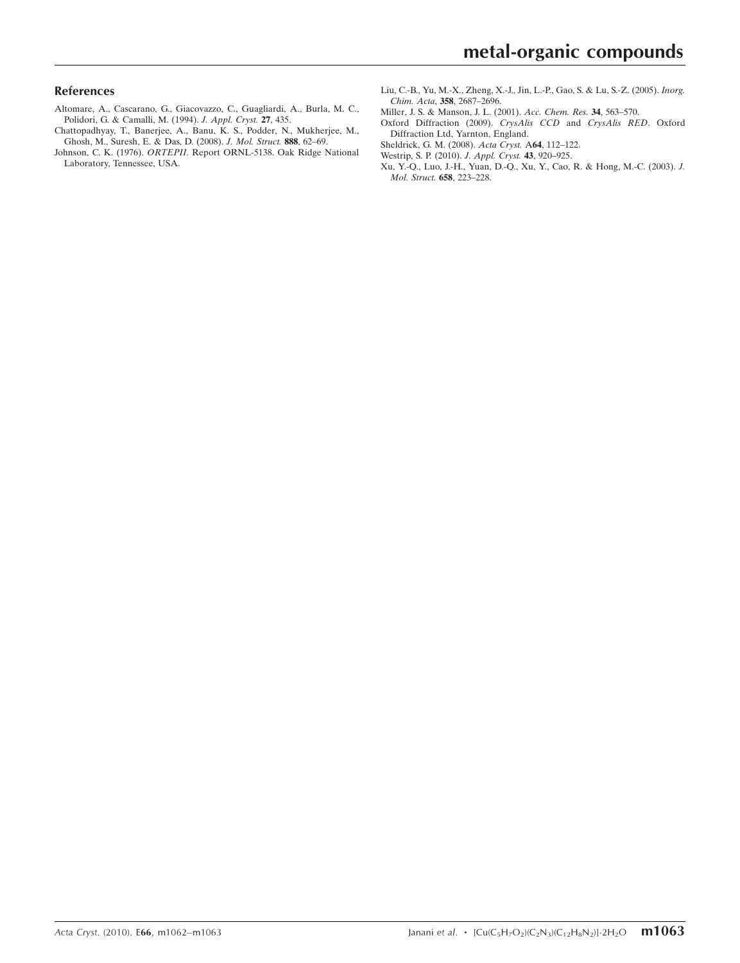#### References

- [Altomare, A., Cascarano, G., Giacovazzo, C., Guagliardi, A., Burla, M. C.,](https://scripts.iucr.org/cgi-bin/cr.cgi?rm=pdfbb&cnor=om2347&bbid=BB1) [Polidori, G. & Camalli, M. \(1994\).](https://scripts.iucr.org/cgi-bin/cr.cgi?rm=pdfbb&cnor=om2347&bbid=BB1) J. Appl. Cryst. 27, 435.
- [Chattopadhyay, T., Banerjee, A., Banu, K. S., Podder, N., Mukherjee, M.,](https://scripts.iucr.org/cgi-bin/cr.cgi?rm=pdfbb&cnor=om2347&bbid=BB2) [Ghosh, M., Suresh, E. & Das, D. \(2008\).](https://scripts.iucr.org/cgi-bin/cr.cgi?rm=pdfbb&cnor=om2347&bbid=BB2) J. Mol. Struct. 888, 62–69.
- Johnson, C. K. (1976). ORTEPII[. Report ORNL-5138. Oak Ridge National](https://scripts.iucr.org/cgi-bin/cr.cgi?rm=pdfbb&cnor=om2347&bbid=BB3) [Laboratory, Tennessee, USA.](https://scripts.iucr.org/cgi-bin/cr.cgi?rm=pdfbb&cnor=om2347&bbid=BB3)
- [Liu, C.-B., Yu, M.-X., Zheng, X.-J., Jin, L.-P., Gao, S. & Lu, S.-Z. \(2005\).](https://scripts.iucr.org/cgi-bin/cr.cgi?rm=pdfbb&cnor=om2347&bbid=BB4) Inorg. Chim. Acta, 358[, 2687–2696.](https://scripts.iucr.org/cgi-bin/cr.cgi?rm=pdfbb&cnor=om2347&bbid=BB4)
- [Miller, J. S. & Manson, J. L. \(2001\).](https://scripts.iucr.org/cgi-bin/cr.cgi?rm=pdfbb&cnor=om2347&bbid=BB5) Acc. Chem. Res. 34, 563–570.
- [Oxford Diffraction \(2009\).](https://scripts.iucr.org/cgi-bin/cr.cgi?rm=pdfbb&cnor=om2347&bbid=BB6) CrysAlis CCD and CrysAlis RED. Oxford [Diffraction Ltd, Yarnton, England.](https://scripts.iucr.org/cgi-bin/cr.cgi?rm=pdfbb&cnor=om2347&bbid=BB6)
- [Sheldrick, G. M. \(2008\).](https://scripts.iucr.org/cgi-bin/cr.cgi?rm=pdfbb&cnor=om2347&bbid=BB7) Acta Cryst. A64, 112–122.
- [Westrip, S. P. \(2010\).](https://scripts.iucr.org/cgi-bin/cr.cgi?rm=pdfbb&cnor=om2347&bbid=BB8) J. Appl. Cryst. 43, 920–925.
- [Xu, Y.-Q., Luo, J.-H., Yuan, D.-Q., Xu, Y., Cao, R. & Hong, M.-C. \(2003\).](https://scripts.iucr.org/cgi-bin/cr.cgi?rm=pdfbb&cnor=om2347&bbid=BB9) J. [Mol. Struct.](https://scripts.iucr.org/cgi-bin/cr.cgi?rm=pdfbb&cnor=om2347&bbid=BB9) 658, 223–228.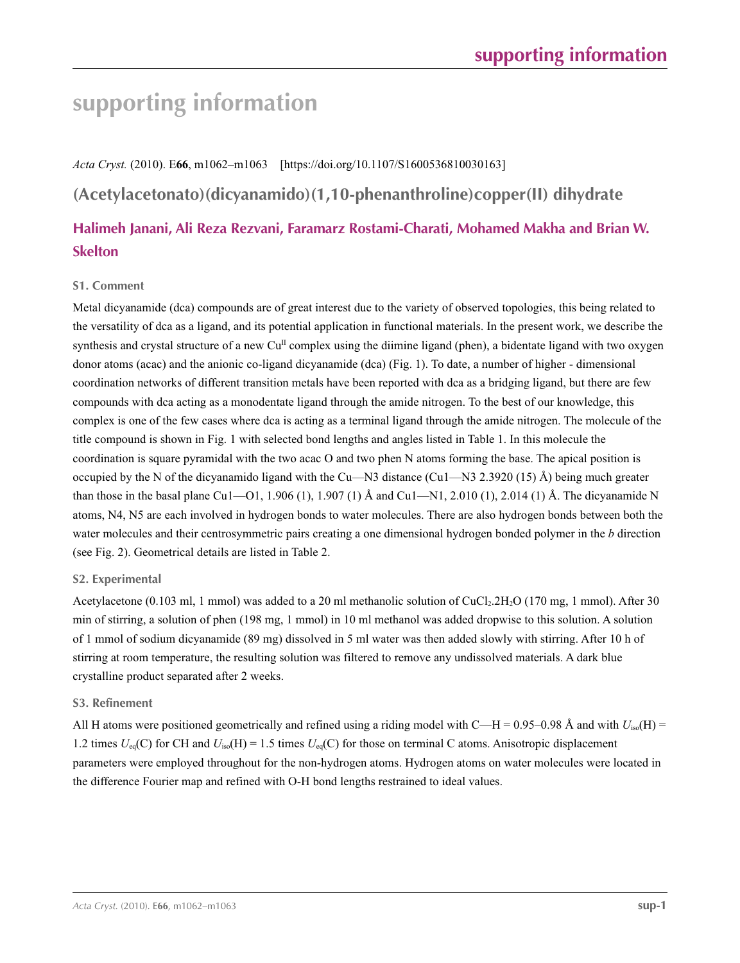# **supporting information**

*Acta Cryst.* (2010). E**66**, m1062–m1063 [https://doi.org/10.1107/S1600536810030163]

**(Acetylacetonato)(dicyanamido)(1,10-phenanthroline)copper(II) dihydrate**

## **Halimeh Janani, Ali Reza Rezvani, Faramarz Rostami-Charati, Mohamed Makha and Brian W. Skelton**

### **S1. Comment**

Metal dicyanamide (dca) compounds are of great interest due to the variety of observed topologies, this being related to the versatility of dca as a ligand, and its potential application in functional materials. In the present work, we describe the synthesis and crystal structure of a new  $Cu<sup>II</sup>$  complex using the diimine ligand (phen), a bidentate ligand with two oxygen donor atoms (acac) and the anionic co-ligand dicyanamide (dca) (Fig. 1). To date, a number of higher - dimensional coordination networks of different transition metals have been reported with dca as a bridging ligand, but there are few compounds with dca acting as a monodentate ligand through the amide nitrogen. To the best of our knowledge, this complex is one of the few cases where dca is acting as a terminal ligand through the amide nitrogen. The molecule of the title compound is shown in Fig. 1 with selected bond lengths and angles listed in Table 1. In this molecule the coordination is square pyramidal with the two acac O and two phen N atoms forming the base. The apical position is occupied by the N of the dicyanamido ligand with the Cu—N3 distance (Cu1—N3 2.3920 (15) Å) being much greater than those in the basal plane Cu1—O1, 1.906 (1), 1.907 (1) Å and Cu1—N1, 2.010 (1), 2.014 (1) Å. The dicyanamide N atoms, N4, N5 are each involved in hydrogen bonds to water molecules. There are also hydrogen bonds between both the water molecules and their centrosymmetric pairs creating a one dimensional hydrogen bonded polymer in the *b* direction (see Fig. 2). Geometrical details are listed in Table 2.

### **S2. Experimental**

Acetylacetone (0.103 ml, 1 mmol) was added to a 20 ml methanolic solution of  $CuCl<sub>2</sub>.2H<sub>2</sub>O$  (170 mg, 1 mmol). After 30 min of stirring, a solution of phen (198 mg, 1 mmol) in 10 ml methanol was added dropwise to this solution. A solution of 1 mmol of sodium dicyanamide (89 mg) dissolved in 5 ml water was then added slowly with stirring. After 10 h of stirring at room temperature, the resulting solution was filtered to remove any undissolved materials. A dark blue crystalline product separated after 2 weeks.

#### **S3. Refinement**

All H atoms were positioned geometrically and refined using a riding model with C—H =  $0.95-0.98$  Å and with  $U_{iso}(H)$  = 1.2 times  $U_{eq}(C)$  for CH and  $U_{iso}(H) = 1.5$  times  $U_{eq}(C)$  for those on terminal C atoms. Anisotropic displacement parameters were employed throughout for the non-hydrogen atoms. Hydrogen atoms on water molecules were located in the difference Fourier map and refined with O-H bond lengths restrained to ideal values.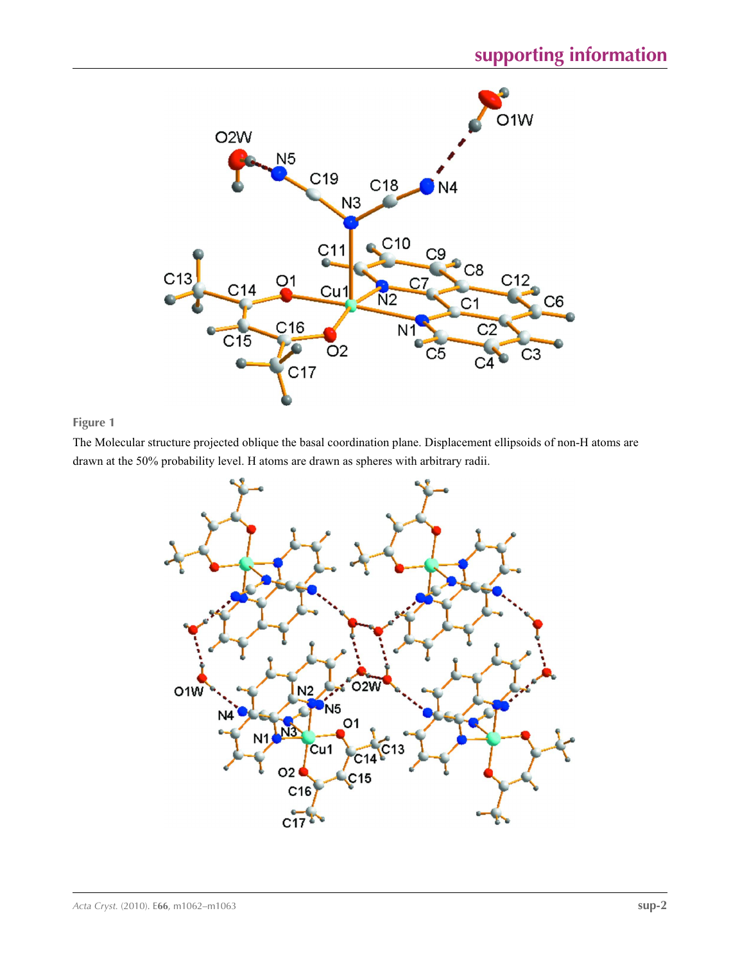

### **Figure 1**

The Molecular structure projected oblique the basal coordination plane. Displacement ellipsoids of non-H atoms are drawn at the 50% probability level. H atoms are drawn as spheres with arbitrary radii.

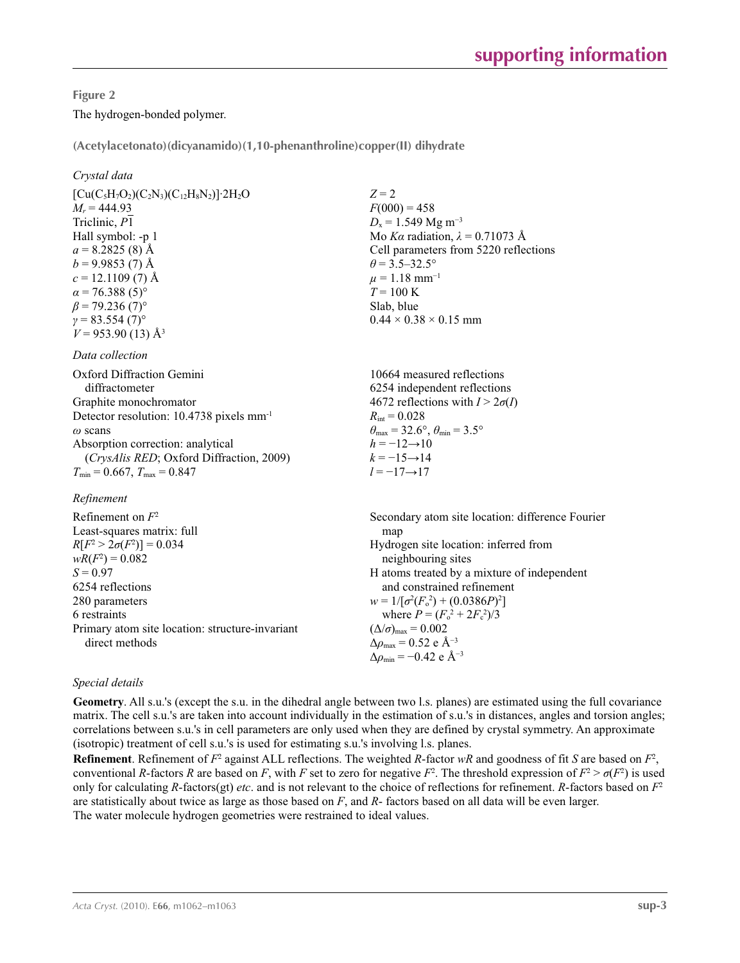**Figure 2**

#### The hydrogen-bonded polymer.

**(Acetylacetonato)(dicyanamido)(1,10-phenanthroline)copper(II) dihydrate** 

#### *Crystal data*

 $[Cu(C_5H_7O_2)(C_2N_3)(C_{12}H_8N_2)]$ ·2H<sub>2</sub>O  $M_r = 444.93$ Triclinic, *P*1 Hall symbol: -p 1  $a = 8.2825(8)$  Å  $b = 9.9853(7)$  Å  $c = 12.1109(7)$  Å  $\alpha$  = 76.388 (5)<sup>o</sup>  $\beta$  = 79.236 (7)<sup>°</sup>  $\gamma = 83.554(7)$ °  $V = 953.90(13)$  Å<sup>3</sup>

#### *Data collection*

Oxford Diffraction Gemini diffractometer Graphite monochromator Detector resolution: 10.4738 pixels mm-1 *ω* scans Absorption correction: analytical (*CrysAlis RED*; Oxford Diffraction, 2009)  $T_{\min} = 0.667$ ,  $T_{\max} = 0.847$ 

### *Refinement*

Refinement on *F*<sup>2</sup> Least-squares matrix: full *R*[ $F^2 > 2\sigma(F^2)$ ] = 0.034  $wR(F^2) = 0.082$  $S = 0.97$ 6254 reflections 280 parameters 6 restraints Primary atom site location: structure-invariant direct methods Secondary atom site location: difference Fourier map Hydrogen site location: inferred from neighbouring sites H atoms treated by a mixture of independent and constrained refinement  $w = 1/[\sigma^2 (F_o^2) + (0.0386P)^2]$ where  $P = (F_o^2 + 2F_c^2)/3$  $(\Delta/\sigma)_{\text{max}} = 0.002$ Δ*ρ*max = 0.52 e Å−3

### *Special details*

**Geometry**. All s.u.'s (except the s.u. in the dihedral angle between two l.s. planes) are estimated using the full covariance matrix. The cell s.u.'s are taken into account individually in the estimation of s.u.'s in distances, angles and torsion angles; correlations between s.u.'s in cell parameters are only used when they are defined by crystal symmetry. An approximate (isotropic) treatment of cell s.u.'s is used for estimating s.u.'s involving l.s. planes.

**Refinement**. Refinement of  $F^2$  against ALL reflections. The weighted  $R$ -factor  $wR$  and goodness of fit  $S$  are based on  $F^2$ , conventional *R*-factors *R* are based on *F*, with *F* set to zero for negative  $F^2$ . The threshold expression of  $F^2 > \sigma(F^2)$  is used only for calculating *R*-factors(gt) *etc*. and is not relevant to the choice of reflections for refinement. *R*-factors based on *F*<sup>2</sup> are statistically about twice as large as those based on *F*, and *R*- factors based on all data will be even larger. The water molecule hydrogen geometries were restrained to ideal values.

 $Z = 2$  $F(000) = 458$  $D_x = 1.549$  Mg m<sup>-3</sup> Mo *Kα* radiation,  $\lambda = 0.71073$  Å Cell parameters from 5220 reflections  $\theta$  = 3.5–32.5°  $\mu = 1.18$  mm<sup>-1</sup>  $T = 100 \text{ K}$ Slab, blue  $0.44 \times 0.38 \times 0.15$  mm

10664 measured reflections 6254 independent reflections 4672 reflections with  $I > 2\sigma(I)$  $R_{\text{int}} = 0.028$  $\theta_{\text{max}} = 32.6^{\circ}, \theta_{\text{min}} = 3.5^{\circ}$  $h = -12 \rightarrow 10$  $k = -15 \rightarrow 14$ *l* = −17→17

 $\Delta\rho_{\text{min}} = -0.42$  e Å<sup>-3</sup>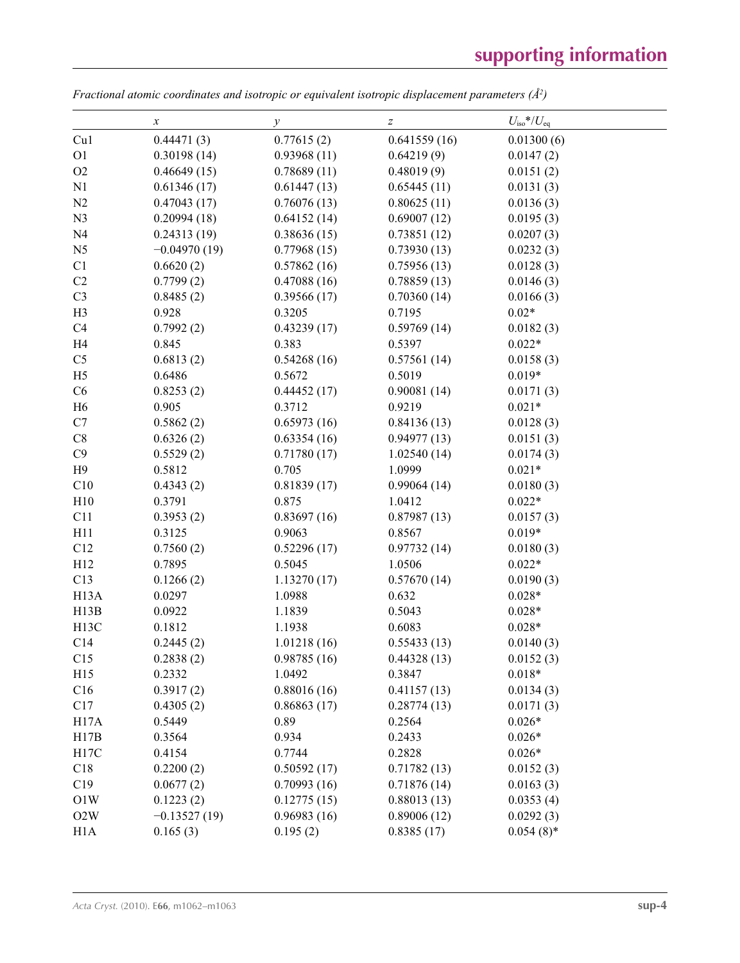|                   | $\boldsymbol{\chi}$ | у           | $\boldsymbol{Z}$ | $U_{\rm iso}*/U_{\rm eq}$ |
|-------------------|---------------------|-------------|------------------|---------------------------|
| Cu1               | 0.44471(3)          | 0.77615(2)  | 0.641559(16)     | 0.01300(6)                |
| O <sub>1</sub>    | 0.30198(14)         | 0.93968(11) | 0.64219(9)       | 0.0147(2)                 |
| O2                | 0.46649(15)         | 0.78689(11) | 0.48019(9)       | 0.0151(2)                 |
| N1                | 0.61346(17)         | 0.61447(13) | 0.65445(11)      | 0.0131(3)                 |
| N2                | 0.47043(17)         | 0.76076(13) | 0.80625(11)      | 0.0136(3)                 |
| N <sub>3</sub>    | 0.20994(18)         | 0.64152(14) | 0.69007(12)      | 0.0195(3)                 |
| N <sub>4</sub>    | 0.24313(19)         | 0.38636(15) | 0.73851(12)      | 0.0207(3)                 |
| N <sub>5</sub>    | $-0.04970(19)$      | 0.77968(15) | 0.73930(13)      | 0.0232(3)                 |
| C1                | 0.6620(2)           | 0.57862(16) | 0.75956(13)      | 0.0128(3)                 |
| C <sub>2</sub>    | 0.7799(2)           | 0.47088(16) | 0.78859(13)      | 0.0146(3)                 |
| C <sub>3</sub>    | 0.8485(2)           | 0.39566(17) | 0.70360(14)      | 0.0166(3)                 |
| H <sub>3</sub>    | 0.928               | 0.3205      | 0.7195           | $0.02*$                   |
| C4                | 0.7992(2)           | 0.43239(17) | 0.59769(14)      | 0.0182(3)                 |
| H4                | 0.845               | 0.383       | 0.5397           | $0.022*$                  |
| C <sub>5</sub>    | 0.6813(2)           | 0.54268(16) | 0.57561(14)      | 0.0158(3)                 |
| H <sub>5</sub>    | 0.6486              | 0.5672      | 0.5019           | $0.019*$                  |
| C6                | 0.8253(2)           | 0.44452(17) | 0.90081(14)      | 0.0171(3)                 |
| H <sub>6</sub>    | 0.905               | 0.3712      | 0.9219           | $0.021*$                  |
| C7                | 0.5862(2)           | 0.65973(16) | 0.84136(13)      | 0.0128(3)                 |
| C8                | 0.6326(2)           | 0.63354(16) | 0.94977(13)      | 0.0151(3)                 |
| C9                | 0.5529(2)           | 0.71780(17) | 1.02540(14)      | 0.0174(3)                 |
| H9                | 0.5812              | 0.705       | 1.0999           | $0.021*$                  |
| C10               | 0.4343(2)           | 0.81839(17) | 0.99064(14)      | 0.0180(3)                 |
| H10               | 0.3791              | 0.875       | 1.0412           | $0.022*$                  |
| C11               | 0.3953(2)           | 0.83697(16) | 0.87987(13)      | 0.0157(3)                 |
| H11               | 0.3125              | 0.9063      | 0.8567           | $0.019*$                  |
| C12               | 0.7560(2)           | 0.52296(17) | 0.97732(14)      | 0.0180(3)                 |
| H12               | 0.7895              | 0.5045      | 1.0506           | $0.022*$                  |
| C13               | 0.1266(2)           | 1.13270(17) | 0.57670(14)      | 0.0190(3)                 |
| H <sub>13</sub> A | 0.0297              | 1.0988      | 0.632            | $0.028*$                  |
| H13B              | 0.0922              | 1.1839      | 0.5043           | $0.028*$                  |
| H <sub>13</sub> C | 0.1812              | 1.1938      | 0.6083           | $0.028*$                  |
| C14               | 0.2445(2)           | 1.01218(16) | 0.55433(13)      | 0.0140(3)                 |
| C15               | 0.2838(2)           | 0.98785(16) | 0.44328(13)      | 0.0152(3)                 |
| H15               | 0.2332              | 1.0492      | 0.3847           | $0.018*$                  |
| C16               | 0.3917(2)           | 0.88016(16) | 0.41157(13)      | 0.0134(3)                 |
| C17               | 0.4305(2)           | 0.86863(17) | 0.28774(13)      | 0.0171(3)                 |
| H17A              | 0.5449              | 0.89        | 0.2564           | $0.026*$                  |
| H17B              | 0.3564              | 0.934       | 0.2433           | $0.026*$                  |
| H17C              | 0.4154              | 0.7744      | 0.2828           | $0.026*$                  |
| C18               | 0.2200(2)           | 0.50592(17) | 0.71782(13)      | 0.0152(3)                 |
| C19               | 0.0677(2)           | 0.70993(16) | 0.71876(14)      | 0.0163(3)                 |
| O1W               | 0.1223(2)           | 0.12775(15) | 0.88013(13)      | 0.0353(4)                 |
| O2W               | $-0.13527(19)$      | 0.96983(16) | 0.89006(12)      | 0.0292(3)                 |
| H1A               | 0.165(3)            | 0.195(2)    | 0.8385(17)       | $0.054(8)$ *              |

*Fractional atomic coordinates and isotropic or equivalent isotropic displacement parameters (Å<sup>2</sup>)*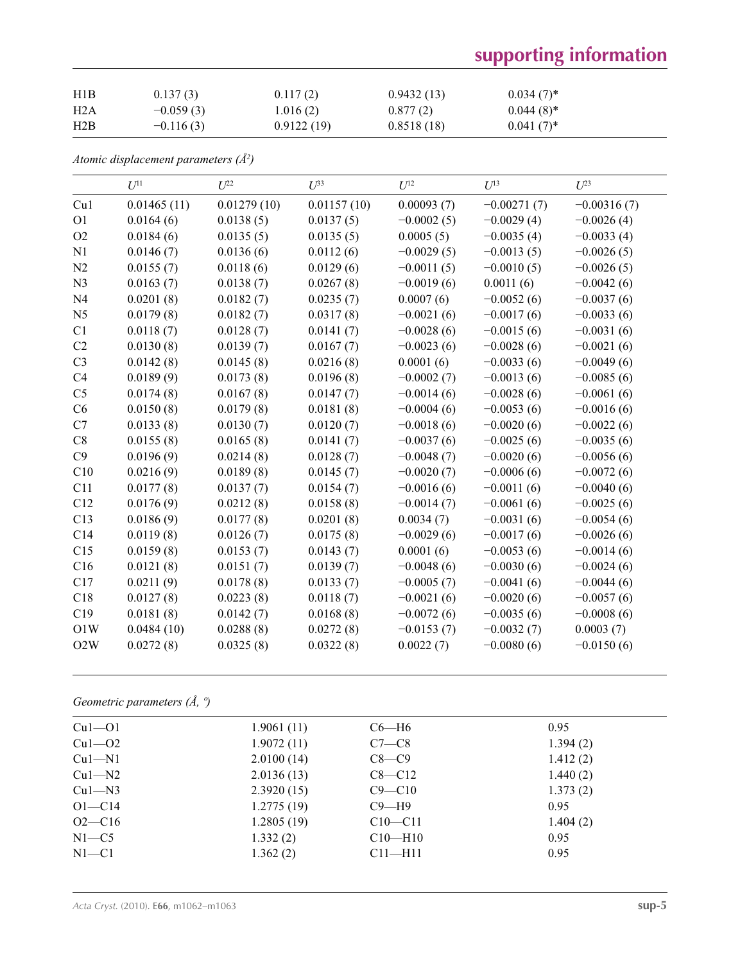# **supporting information**

| H <sub>1</sub> B | 0.137(3)    | 0.117(2)   | 0.9432(13) | $0.034(7)^*$ |
|------------------|-------------|------------|------------|--------------|
| H2A              | $-0.059(3)$ | 1.016(2)   | 0.877(2)   | $0.044(8)$ * |
| H2B              | $-0.116(3)$ | 0.9122(19) | 0.8518(18) | $0.041(7)^*$ |

*Atomic displacement parameters (Å2 )*

|                | $U^{11}$    | I/22        | $I^{\beta}$ | $I^{12}$     | $U^{13}$      | $U^{23}$      |
|----------------|-------------|-------------|-------------|--------------|---------------|---------------|
| Cu1            | 0.01465(11) | 0.01279(10) | 0.01157(10) | 0.00093(7)   | $-0.00271(7)$ | $-0.00316(7)$ |
| O <sub>1</sub> | 0.0164(6)   | 0.0138(5)   | 0.0137(5)   | $-0.0002(5)$ | $-0.0029(4)$  | $-0.0026(4)$  |
| O2             | 0.0184(6)   | 0.0135(5)   | 0.0135(5)   | 0.0005(5)    | $-0.0035(4)$  | $-0.0033(4)$  |
| N <sub>1</sub> | 0.0146(7)   | 0.0136(6)   | 0.0112(6)   | $-0.0029(5)$ | $-0.0013(5)$  | $-0.0026(5)$  |
| N <sub>2</sub> | 0.0155(7)   | 0.0118(6)   | 0.0129(6)   | $-0.0011(5)$ | $-0.0010(5)$  | $-0.0026(5)$  |
| N <sub>3</sub> | 0.0163(7)   | 0.0138(7)   | 0.0267(8)   | $-0.0019(6)$ | 0.0011(6)     | $-0.0042(6)$  |
| N <sub>4</sub> | 0.0201(8)   | 0.0182(7)   | 0.0235(7)   | 0.0007(6)    | $-0.0052(6)$  | $-0.0037(6)$  |
| N <sub>5</sub> | 0.0179(8)   | 0.0182(7)   | 0.0317(8)   | $-0.0021(6)$ | $-0.0017(6)$  | $-0.0033(6)$  |
| C1             | 0.0118(7)   | 0.0128(7)   | 0.0141(7)   | $-0.0028(6)$ | $-0.0015(6)$  | $-0.0031(6)$  |
| C2             | 0.0130(8)   | 0.0139(7)   | 0.0167(7)   | $-0.0023(6)$ | $-0.0028(6)$  | $-0.0021(6)$  |
| C <sub>3</sub> | 0.0142(8)   | 0.0145(8)   | 0.0216(8)   | 0.0001(6)    | $-0.0033(6)$  | $-0.0049(6)$  |
| C4             | 0.0189(9)   | 0.0173(8)   | 0.0196(8)   | $-0.0002(7)$ | $-0.0013(6)$  | $-0.0085(6)$  |
| C <sub>5</sub> | 0.0174(8)   | 0.0167(8)   | 0.0147(7)   | $-0.0014(6)$ | $-0.0028(6)$  | $-0.0061(6)$  |
| C6             | 0.0150(8)   | 0.0179(8)   | 0.0181(8)   | $-0.0004(6)$ | $-0.0053(6)$  | $-0.0016(6)$  |
| C7             | 0.0133(8)   | 0.0130(7)   | 0.0120(7)   | $-0.0018(6)$ | $-0.0020(6)$  | $-0.0022(6)$  |
| C8             | 0.0155(8)   | 0.0165(8)   | 0.0141(7)   | $-0.0037(6)$ | $-0.0025(6)$  | $-0.0035(6)$  |
| C9             | 0.0196(9)   | 0.0214(8)   | 0.0128(7)   | $-0.0048(7)$ | $-0.0020(6)$  | $-0.0056(6)$  |
| C10            | 0.0216(9)   | 0.0189(8)   | 0.0145(7)   | $-0.0020(7)$ | $-0.0006(6)$  | $-0.0072(6)$  |
| C11            | 0.0177(8)   | 0.0137(7)   | 0.0154(7)   | $-0.0016(6)$ | $-0.0011(6)$  | $-0.0040(6)$  |
| C12            | 0.0176(9)   | 0.0212(8)   | 0.0158(8)   | $-0.0014(7)$ | $-0.0061(6)$  | $-0.0025(6)$  |
| C13            | 0.0186(9)   | 0.0177(8)   | 0.0201(8)   | 0.0034(7)    | $-0.0031(6)$  | $-0.0054(6)$  |
| C14            | 0.0119(8)   | 0.0126(7)   | 0.0175(8)   | $-0.0029(6)$ | $-0.0017(6)$  | $-0.0026(6)$  |
| C15            | 0.0159(8)   | 0.0153(7)   | 0.0143(7)   | 0.0001(6)    | $-0.0053(6)$  | $-0.0014(6)$  |
| C16            | 0.0121(8)   | 0.0151(7)   | 0.0139(7)   | $-0.0048(6)$ | $-0.0030(6)$  | $-0.0024(6)$  |
| C17            | 0.0211(9)   | 0.0178(8)   | 0.0133(7)   | $-0.0005(7)$ | $-0.0041(6)$  | $-0.0044(6)$  |
| C18            | 0.0127(8)   | 0.0223(8)   | 0.0118(7)   | $-0.0021(6)$ | $-0.0020(6)$  | $-0.0057(6)$  |
| C19            | 0.0181(8)   | 0.0142(7)   | 0.0168(8)   | $-0.0072(6)$ | $-0.0035(6)$  | $-0.0008(6)$  |
| O1W            | 0.0484(10)  | 0.0288(8)   | 0.0272(8)   | $-0.0153(7)$ | $-0.0032(7)$  | 0.0003(7)     |
| O2W            | 0.0272(8)   | 0.0325(8)   | 0.0322(8)   | 0.0022(7)    | $-0.0080(6)$  | $-0.0150(6)$  |

*Geometric parameters (Å, º)*

| $Cu1-O1$   | 1.9061(11) | $C6-H6$       | 0.95     |
|------------|------------|---------------|----------|
| $Cu1-O2$   | 1.9072(11) | $C7-C8$       | 1.394(2) |
| $Cu1-M1$   | 2.0100(14) | $C8-C9$       | 1.412(2) |
| $Cu1 - N2$ | 2.0136(13) | $C8 - C12$    | 1.440(2) |
| $Cu1 - N3$ | 2.3920(15) | $C9 - C10$    | 1.373(2) |
| $O1 - C14$ | 1.2775(19) | $C9 - H9$     | 0.95     |
| $O2 - C16$ | 1.2805(19) | $C10 - C11$   | 1.404(2) |
| $N1 - C5$  | 1.332(2)   | $C10 - H10$   | 0.95     |
| $N1 - C1$  | 1.362(2)   | $C11$ —H $11$ | 0.95     |
|            |            |               |          |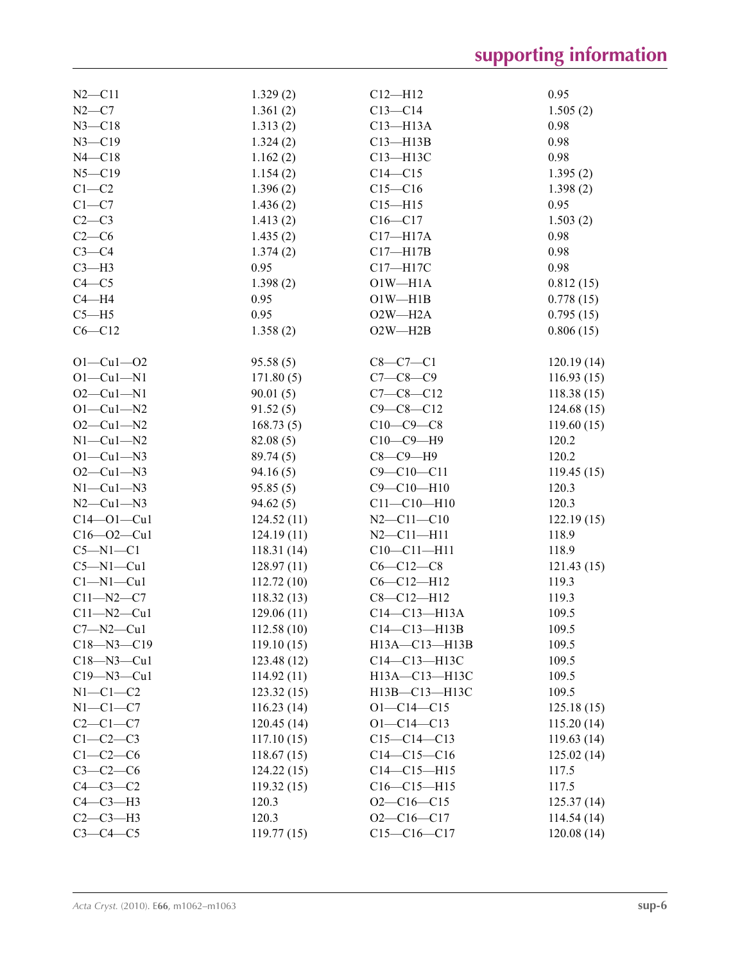| $N2 - C11$       | 1.329(2)            | $C12 - H12$       | 0.95       |
|------------------|---------------------|-------------------|------------|
| $N2-C7$          | 1.361(2)            | $C13 - C14$       | 1.505(2)   |
| $N3 - C18$       | 1.313(2)            | $C13 - H13A$      | 0.98       |
| $N3 - C19$       | 1.324(2)            | $C13 - H13B$      | 0.98       |
| $N4 - C18$       | 1.162(2)            | C13-H13C          | 0.98       |
| $N5 - C19$       | 1.154(2)            | $C14 - C15$       | 1.395(2)   |
| $C1-C2$          | 1.396(2)            | $C15 - C16$       | 1.398(2)   |
| $C1 - C7$        | 1.436(2)            | $C15 - H15$       | 0.95       |
| $C2-C3$          | 1.413(2)            | $C16 - C17$       | 1.503(2)   |
| $C2-C6$          | 1.435(2)            | $C17 - H17A$      | 0.98       |
| $C3-C4$          | 1.374(2)            | $C17 - H17B$      | 0.98       |
| $C3-H3$          | 0.95                | C17-H17C          | 0.98       |
| $C4 - C5$        | 1.398(2)            | $O1W - H1A$       | 0.812(15)  |
| $C4 - H4$        | 0.95                | $O1W - H1B$       | 0.778(15)  |
| $C5 - H5$        | 0.95                | $O2W - H2A$       | 0.795(15)  |
| $C6 - C12$       | 1.358(2)            | $O2W - H2B$       | 0.806(15)  |
|                  |                     |                   |            |
| $O1 - Cu1 - O2$  | 95.58(5)            | $C8 - C7 - C1$    | 120.19(14) |
| $O1 - Cu1 - N1$  | 171.80(5)           | $C7 - C8 - C9$    | 116.93(15) |
| $O2 - Cu1 - N1$  | 90.01(5)            | $C7 - C8 - C12$   | 118.38(15) |
| $O1 - Cu1 - N2$  | 91.52(5)            | $C9 - C8 - C12$   | 124.68(15) |
| $O2 - Cu1 - N2$  | 168.73(5)           | $C10-C9-C8$       | 119.60(15) |
| $N1-Cu1-N2$      | 82.08(5)            | $C10-C9-H9$       | 120.2      |
| $O1 - Cu1 - N3$  | 89.74(5)            | $C8 - C9 - H9$    | 120.2      |
| $O2 - Cu1 - N3$  | 94.16(5)            | $C9 - C10 - C11$  | 119.45(15) |
| $N1-Cu1-N3$      | 95.85(5)            | $C9 - C10 - H10$  | 120.3      |
| $N2-Cu1-N3$      | 94.62(5)            | $C11 - C10 - H10$ | 120.3      |
| $C14 - O1 - Cu1$ | 124.52(11)          | $N2 - C11 - C10$  | 122.19(15) |
| $C16 - 02 - Cu1$ | 124.19(11)          | $N2 - C11 - H11$  | 118.9      |
| $C5 - N1 - C1$   | 118.31(14)          | $C10-C11-H11$     | 118.9      |
| $C5-M1-Cu1$      | 128.97(11)          | $C6 - C12 - C8$   | 121.43(15) |
| $Cl-M1-Cu1$      | 112.72(10)          | $C6 - C12 - H12$  | 119.3      |
| $C11 - N2 - C7$  | 118.32(13)          | $C8 - C12 - H12$  | 119.3      |
| $C11 - N2 - Cu1$ | 129.06(11)          | $C14-C13-H13A$    | 109.5      |
| $C7 - N2 - Cu1$  | 112.58(10)          | $C14-C13-H13B$    | 109.5      |
| $C18 - N3 - C19$ | 119.10(15)          | H13A-C13-H13B     | 109.5      |
| $C18 - N3 - Cu1$ | 123.48 (12)         | C14-C13-H13C      | 109.5      |
| $C19 - N3 - Cu1$ | 114.92(11)          | H13A-C13-H13C     | 109.5      |
| $N1-C1-C2$       | 123.32(15)          | H13B-C13-H13C     | 109.5      |
| $N1-C1-C7$       | 116.23(14)          | $O1 - C14 - C15$  | 125.18(15) |
| $C2-C1-C7$       | 120.45(14)          | $O1 - C14 - C13$  | 115.20(14) |
| $C1-C2-C3$       | 117.10(15)          | $C15-C14-C13$     | 119.63(14) |
| $C1-C2-C6$       | 118.67(15)          | $C14-C15-C16$     |            |
| $C3-C2-C6$       | 124.22(15)          | $C14 - C15 - H15$ | 125.02(14) |
| $C4-C3-C2$       |                     | $C16 - C15 - H15$ | 117.5      |
| $C4-C3-H3$       | 119.32(15)<br>120.3 |                   | 117.5      |
|                  |                     | $O2-C16-C15$      | 125.37(14) |
| $C2-C3-H3$       | 120.3               | $O2-C16-C17$      | 114.54(14) |
| $C3-C4-C5$       | 119.77(15)          | $C15-C16-C17$     | 120.08(14) |